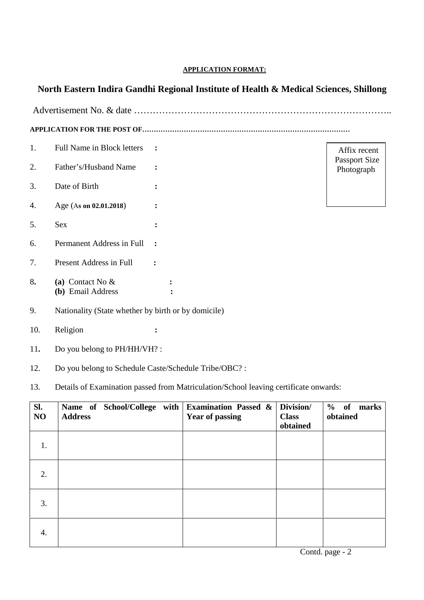## **APPLICATION FORMAT:**

## **North Eastern Indira Gandhi Regional Institute of Health & Medical Sciences, Shillong**

Advertisement No. & date ………………………………………………………………………..

**APPLICATION FOR THE POST OF………………………………………………………………………………**

- 1. Full Name in Block letters **:** 2. Father's/Husband Name **:**
- 3. Date of Birth **:**
- 4. Age (A**s on 02.01.2018**) **:**
- 5. Sex **:**
- 6. Permanent Address in Full **:**
- 7. Present Address in Full **:**
- 8**. (a)** Contact No & **: (b)** Email Address **:**

Affix recent Passport Size Photograph

- 9. Nationality (State whether by birth or by domicile)
- 10. Religion **:**
- 11**.** Do you belong to PH/HH/VH? :
- 12. Do you belong to Schedule Caste/Schedule Tribe/OBC? :
- 13. Details of Examination passed from Matriculation/School leaving certificate onwards:

| SI.<br>N <sub>O</sub> | Name of School/College with Examination Passed $\&$<br><b>Address</b> | <b>Year of passing</b> | Division/<br><b>Class</b><br>obtained | % of<br>marks<br>obtained |
|-----------------------|-----------------------------------------------------------------------|------------------------|---------------------------------------|---------------------------|
| 1.                    |                                                                       |                        |                                       |                           |
| 2.                    |                                                                       |                        |                                       |                           |
| 3.                    |                                                                       |                        |                                       |                           |
| 4.                    |                                                                       |                        |                                       |                           |